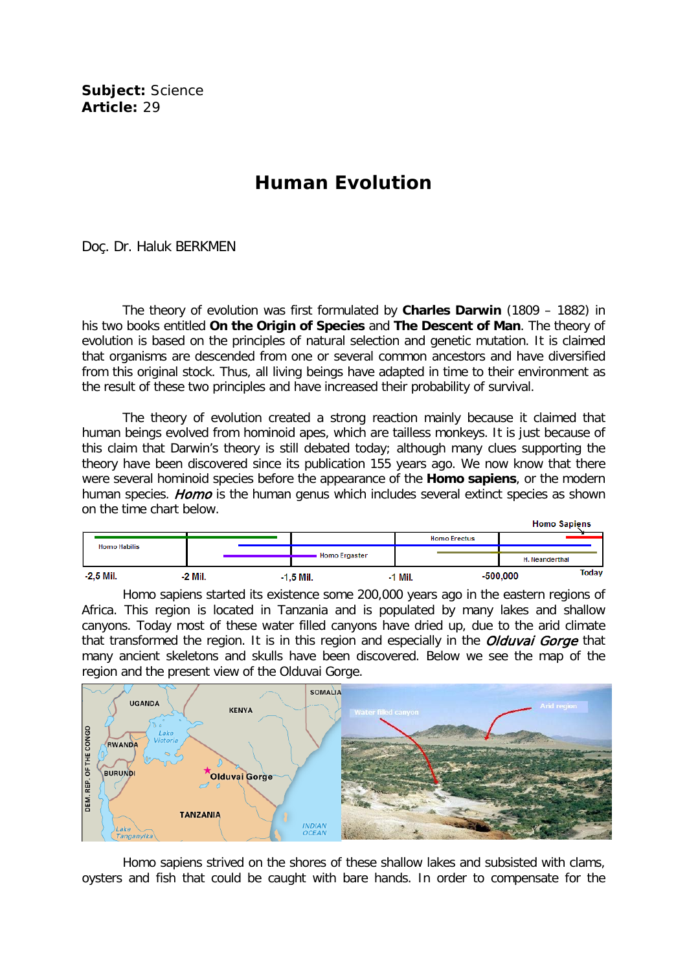**Subject:** Science **Article:** 29

## **Human Evolution**

## Doç. Dr. Haluk BERKMEN

The theory of evolution was first formulated by **Charles Darwin** (1809 – 1882) in his two books entitled **On the Origin of Species** and **The Descent of Man**. The theory of evolution is based on the principles of natural selection and genetic mutation. It is claimed that organisms are descended from one or several common ancestors and have diversified from this original stock. Thus, all living beings have adapted in time to their environment as the result of these two principles and have increased their probability of survival.

The theory of evolution created a strong reaction mainly because it claimed that human beings evolved from hominoid apes, which are tailless monkeys. It is just because of this claim that Darwin's theory is still debated today; although many clues supporting the theory have been discovered since its publication 155 years ago. We now know that there were several hominoid species before the appearance of the **Homo sapiens**, or the modern human species. Homo is the human genus which includes several extinct species as shown on the time chart below.

|             |                     |           |             |               |  |         |                     | <b>Homo Sapiens</b> |              |  |
|-------------|---------------------|-----------|-------------|---------------|--|---------|---------------------|---------------------|--------------|--|
|             |                     |           |             |               |  |         | <b>Homo Erectus</b> |                     |              |  |
|             | <b>Homo Habilis</b> |           |             | Homo Ergaster |  |         |                     |                     |              |  |
|             |                     |           |             |               |  |         |                     | H. Neanderthal      |              |  |
| $-2.5$ Mil. |                     | $-2$ Mil. | $-1.5$ Mil. |               |  | -1 Mil. | $-500,000$          |                     | <b>Today</b> |  |

Homo sapiens started its existence some 200,000 years ago in the eastern regions of Africa. This region is located in Tanzania and is populated by many lakes and shallow canyons. Today most of these water filled canyons have dried up, due to the arid climate that transformed the region. It is in this region and especially in the *Olduval Gorge* that many ancient skeletons and skulls have been discovered. Below we see the map of the region and the present view of the Olduvai Gorge.



Homo sapiens strived on the shores of these shallow lakes and subsisted with clams, oysters and fish that could be caught with bare hands. In order to compensate for the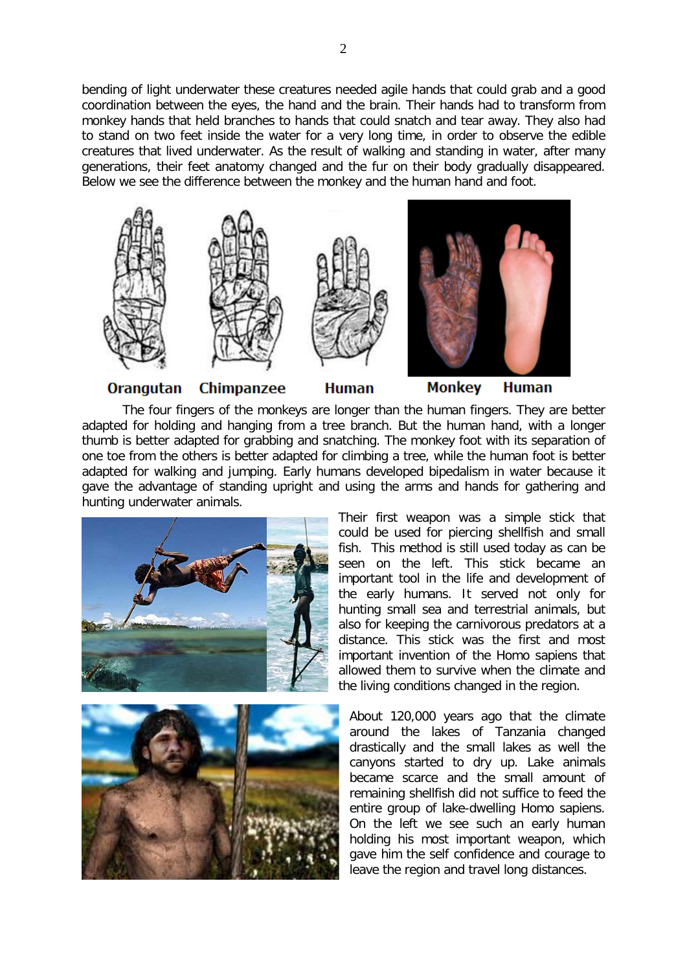bending of light underwater these creatures needed agile hands that could grab and a good coordination between the eyes, the hand and the brain. Their hands had to transform from monkey hands that held branches to hands that could snatch and tear away. They also had to stand on two feet inside the water for a very long time, in order to observe the edible creatures that lived underwater. As the result of walking and standing in water, after many generations, their feet anatomy changed and the fur on their body gradually disappeared. Below we see the difference between the monkey and the human hand and foot.



**Orangutan** 

**Chimpanzee** 

**Human** 

**Monkey Human** 

The four fingers of the monkeys are longer than the human fingers. They are better adapted for holding and hanging from a tree branch. But the human hand, with a longer thumb is better adapted for grabbing and snatching. The monkey foot with its separation of one toe from the others is better adapted for climbing a tree, while the human foot is better adapted for walking and jumping. Early humans developed bipedalism in water because it gave the advantage of standing upright and using the arms and hands for gathering and hunting underwater animals.





Their first weapon was a simple stick that could be used for piercing shellfish and small fish. This method is still used today as can be seen on the left. This stick became an important tool in the life and development of the early humans. It served not only for hunting small sea and terrestrial animals, but also for keeping the carnivorous predators at a distance. This stick was the first and most important invention of the Homo sapiens that allowed them to survive when the climate and the living conditions changed in the region.

About 120,000 years ago that the climate around the lakes of Tanzania changed drastically and the small lakes as well the canyons started to dry up. Lake animals became scarce and the small amount of remaining shellfish did not suffice to feed the entire group of lake-dwelling Homo sapiens. On the left we see such an early human holding his most important weapon, which gave him the self confidence and courage to leave the region and travel long distances.